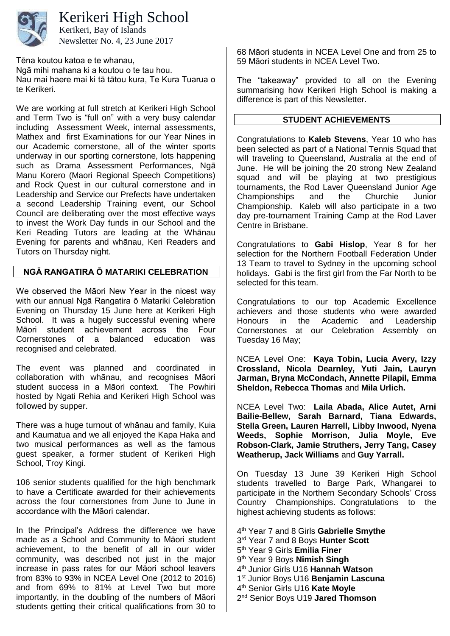

Kerikeri High School

Newsletter No. 4, 23 June 2017 Kerikeri, Bay of Islands

Tēna koutou katoa e te whanau, Ngā mihi mahana ki a koutou o te tau hou. Nau mai haere mai ki tā tātou kura, Te Kura Tuarua o te Kerikeri.

We are working at full stretch at Kerikeri High School and Term Two is "full on" with a very busy calendar including Assessment Week, internal assessments, Mathex and first Examinations for our Year Nines in our Academic cornerstone, all of the winter sports underway in our sporting cornerstone, lots happening such as Drama Assessment Performances, Ngā Manu Korero (Maori Regional Speech Competitions) and Rock Quest in our cultural cornerstone and in Leadership and Service our Prefects have undertaken a second Leadership Training event, our School Council are deliberating over the most effective ways to invest the Work Day funds in our School and the Keri Reading Tutors are leading at the Whānau Evening for parents and whānau, Keri Readers and Tutors on Thursday night.

# **NGĀ RANGATIRA Ō MATARIKI CELEBRATION**

We observed the Māori New Year in the nicest way with our annual Ngā Rangatira ō Matariki Celebration Evening on Thursday 15 June here at Kerikeri High School. It was a hugely successful evening where Māori student achievement across the Four Cornerstones of a balanced education was recognised and celebrated.

The event was planned and coordinated in collaboration with whānau, and recognises Māori student success in a Māori context. The Powhiri hosted by Ngati Rehia and Kerikeri High School was followed by supper.

There was a huge turnout of whānau and family, Kuia and Kaumatua and we all enjoyed the Kapa Haka and two musical performances as well as the famous guest speaker, a former student of Kerikeri High School, Troy Kingi.

106 senior students qualified for the high benchmark to have a Certificate awarded for their achievements across the four cornerstones from June to June in accordance with the Māori calendar.

In the Principal's Address the difference we have made as a School and Community to Māori student achievement, to the benefit of all in our wider community, was described not just in the major increase in pass rates for our Māori school leavers from 83% to 93% in NCEA Level One (2012 to 2016) and from 69% to 81% at Level Two but more importantly, in the doubling of the numbers of Māori students getting their critical qualifications from 30 to

68 Māori students in NCEA Level One and from 25 to 59 Māori students in NCEA Level Two.

The "takeaway" provided to all on the Evening summarising how Kerikeri High School is making a difference is part of this Newsletter.

### **STUDENT ACHIEVEMENTS**

Congratulations to **Kaleb Stevens**, Year 10 who has been selected as part of a National Tennis Squad that will traveling to Queensland, Australia at the end of June. He will be joining the 20 strong New Zealand squad and will be playing at two prestigious tournaments, the Rod Laver Queensland Junior Age<br>Championships and the Churchie Junior Championships and Championship. Kaleb will also participate in a two day pre-tournament Training Camp at the Rod Laver Centre in Brisbane.

Congratulations to **Gabi Hislop**, Year 8 for her selection for the Northern Football Federation Under 13 Team to travel to Sydney in the upcoming school holidays. Gabi is the first girl from the Far North to be selected for this team.

Congratulations to our top Academic Excellence achievers and those students who were awarded Honours in the Academic and Leadership Cornerstones at our Celebration Assembly on Tuesday 16 May;

NCEA Level One: **Kaya Tobin, Lucia Avery, Izzy Crossland, Nicola Dearnley, Yuti Jain, Lauryn Jarman, Bryna McCondach, Annette Pilapil, Emma Sheldon, Rebecca Thomas** and **Mila Urlich.**

NCEA Level Two: **Laila Abada, Alice Autet, Arni Bailie-Bellew, Sarah Barnard, Tiana Edwards, Stella Green, Lauren Harrell, Libby Inwood, Nyena Weeds, Sophie Morrison, Julia Moyle, Eve Robson-Clark, Jamie Struthers, Jerry Tang, Casey Weatherup, Jack Williams** and **Guy Yarrall.**

On Tuesday 13 June 39 Kerikeri High School students travelled to Barge Park, Whangarei to participate in the Northern Secondary Schools' Cross Country Championships. Congratulations to the highest achieving students as follows:

 th Year 7 and 8 Girls **Gabrielle Smythe** rd Year 7 and 8 Boys **Hunter Scott** th Year 9 Girls **Emilia Finer** th Year 9 Boys **Nimish Singh** th Junior Girls U16 **Hannah Watson** st Junior Boys U16 **Benjamin Lascuna** th Senior Girls U16 **Kate Moyle** nd Senior Boys U19 **Jared Thomson**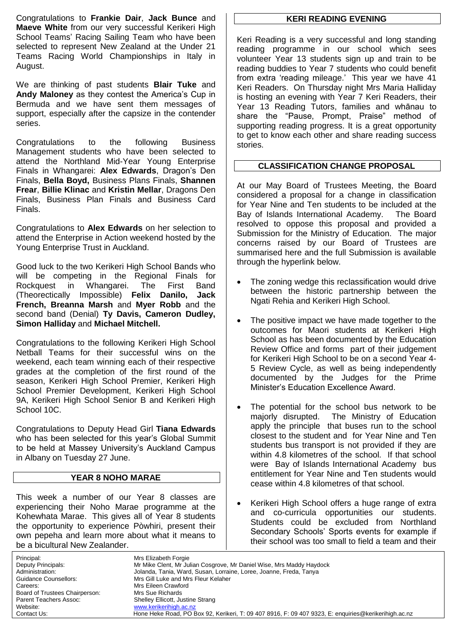Congratulations to **Frankie Dair**, **Jack Bunce** and **Maeve White** from our very successful Kerikeri High School Teams' Racing Sailing Team who have been selected to represent New Zealand at the Under 21 Teams Racing World Championships in Italy in August.

We are thinking of past students **Blair Tuke** and **Andy Maloney** as they contest the America's Cup in Bermuda and we have sent them messages of support, especially after the capsize in the contender series.

Congratulations to the following Business Management students who have been selected to attend the Northland Mid-Year Young Enterprise Finals in Whangarei: **Alex Edwards**, Dragon's Den Finals, **Bella Boyd,** Business Plans Finals, **Shannen Frear**, **Billie Klinac** and **Kristin Mellar**, Dragons Den Finals, Business Plan Finals and Business Card Finals.

Congratulations to **Alex Edwards** on her selection to attend the Enterprise in Action weekend hosted by the Young Enterprise Trust in Auckland.

Good luck to the two Kerikeri High School Bands who will be competing in the Regional Finals for Rockquest in Whangarei. The First Band (Theorectically Impossible) **Felix Danilo, Jack French, Breanna Marsh** and **Myer Robb** and the second band (Denial) **Ty Davis, Cameron Dudley, Simon Halliday** and **Michael Mitchell.**

Congratulations to the following Kerikeri High School Netball Teams for their successful wins on the weekend, each team winning each of their respective grades at the completion of the first round of the season, Kerikeri High School Premier, Kerikeri High School Premier Development, Kerikeri High School 9A, Kerikeri High School Senior B and Kerikeri High School 10C.

Congratulations to Deputy Head Girl **Tiana Edwards** who has been selected for this year's Global Summit to be held at Massey University's Auckland Campus in Albany on Tuesday 27 June.

## **YEAR 8 NOHO MARAE**

This week a number of our Year 8 classes are experiencing their Noho Marae programme at the Kohewhata Marae. This gives all of Year 8 students the opportunity to experience Pòwhiri, present their own pepeha and learn more about what it means to be a bicultural New Zealander.

### **KERI READING EVENING**

Keri Reading is a very successful and long standing reading programme in our school which sees volunteer Year 13 students sign up and train to be reading buddies to Year 7 students who could benefit from extra 'reading mileage.' This year we have 41 Keri Readers. On Thursday night Mrs Maria Halliday is hosting an evening with Year 7 Keri Readers, their Year 13 Reading Tutors, families and whānau to share the "Pause, Prompt, Praise" method of supporting reading progress. It is a great opportunity to get to know each other and share reading success stories.

## **CLASSIFICATION CHANGE PROPOSAL**

At our May Board of Trustees Meeting, the Board considered a proposal for a change in classification for Year Nine and Ten students to be included at the Bay of Islands International Academy. The Board resolved to oppose this proposal and provided a Submission for the Ministry of Education. The major concerns raised by our Board of Trustees are summarised here and the full Submission is available through the hyperlink below.

- The zoning wedge this reclassification would drive between the historic partnership between the Ngati Rehia and Kerikeri High School.
- The positive impact we have made together to the outcomes for Maori students at Kerikeri High School as has been documented by the Education Review Office and forms part of their judgement for Kerikeri High School to be on a second Year 4- 5 Review Cycle, as well as being independently documented by the Judges for the Prime Minister's Education Excellence Award.
- The potential for the school bus network to be majorly disrupted. The Ministry of Education apply the principle that buses run to the school closest to the student and for Year Nine and Ten students bus transport is not provided if they are within 4.8 kilometres of the school. If that school were Bay of Islands International Academy bus entitlement for Year Nine and Ten students would cease within 4.8 kilometres of that school.
- Kerikeri High School offers a huge range of extra and co-curricula opportunities our students. Students could be excluded from Northland Secondary Schools' Sports events for example if their school was too small to field a team and their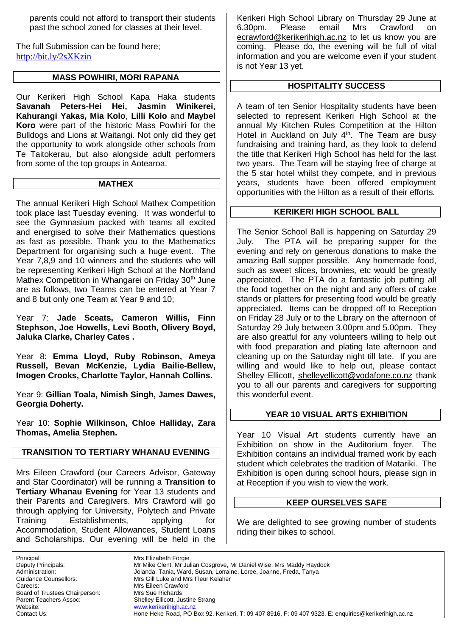parents could not afford to transport their students past the school zoned for classes at their level.

The full Submission can be found here; <http://bit.ly/2sXKzin>

### **MASS POWHIRI, MORI RAPANA**

Our Kerikeri High School Kapa Haka students **Savanah Peters-Hei Hei, Jasmin Winikerei, Kahurangi Yakas, Mia Kolo**, **Lilli Kolo** and **Maybel Koro** were part of the historic Mass Powhiri for the Bulldogs and Lions at Waitangi. Not only did they get the opportunity to work alongside other schools from Te Taitokerau, but also alongside adult performers from some of the top groups in Aotearoa.

#### **MATHEX**

The annual Kerikeri High School Mathex Competition took place last Tuesday evening. It was wonderful to see the Gymnasium packed with teams all excited and energised to solve their Mathematics questions as fast as possible. Thank you to the Mathematics Department for organising such a huge event. The Year 7,8,9 and 10 winners and the students who will be representing Kerikeri High School at the Northland Mathex Competition in Whangarei on Friday 30<sup>th</sup> June are as follows, two Teams can be entered at Year 7 and 8 but only one Team at Year 9 and 10;

Year 7: **Jade Sceats, Cameron Willis, Finn Stephson, Joe Howells, Levi Booth, Olivery Boyd, Jaluka Clarke, Charley Cates .**

Year 8: **Emma Lloyd, Ruby Robinson, Ameya Russell, Bevan McKenzie, Lydia Bailie-Bellew, Imogen Crooks, Charlotte Taylor, Hannah Collins.**

Year 9: **Gillian Toala, Nimish Singh, James Dawes, Georgia Doherty.**

Year 10: **Sophie Wilkinson, Chloe Halliday, Zara Thomas, Amelia Stephen.**

# **TRANSITION TO TERTIARY WHANAU EVENING**

Mrs Eileen Crawford (our Careers Advisor, Gateway and Star Coordinator) will be running a **Transition to Tertiary Whanau Evening** for Year 13 students and their Parents and Caregivers. Mrs Crawford will go through applying for University, Polytech and Private Training Establishments, applying for Accommodation, Student Allowances, Student Loans and Scholarships. Our evening will be held in the

Kerikeri High School Library on Thursday 29 June at 6.30pm. Please email Mrs Crawford [ecrawford@kerikerihigh.ac.nz](mailto:ecrawford@kerikerihigh.ac.nz) to let us know you are coming. Please do, the evening will be full of vital information and you are welcome even if your student is not Year 13 yet.

# **HOSPITALITY SUCCESS**

A team of ten Senior Hospitality students have been selected to represent Kerikeri High School at the annual My Kitchen Rules Competition at the Hilton Hotel in Auckland on July  $4<sup>th</sup>$ . The Team are busy fundraising and training hard, as they look to defend the title that Kerikeri High School has held for the last two years. The Team will be staying free of charge at the 5 star hotel whilst they compete, and in previous years, students have been offered employment opportunities with the Hilton as a result of their efforts.

## **KERIKERI HIGH SCHOOL BALL**

The Senior School Ball is happening on Saturday 29 July. The PTA will be preparing supper for the evening and rely on generous donations to make the amazing Ball supper possible. Any homemade food, such as sweet slices, brownies, etc would be greatly appreciated. The PTA do a fantastic job putting all the food together on the night and any offers of cake stands or platters for presenting food would be greatly appreciated. Items can be dropped off to Reception on Friday 28 July or to the Library on the afternoon of Saturday 29 July between 3.00pm and 5.00pm. They are also greatful for any volunteers willing to help out with food preparation and plating late afternoon and cleaning up on the Saturday night till late. If you are willing and would like to help out, please contact Shelley Ellicott, [shelleyellicott@vodafone.co.nz](mailto:shelleyellicott@vodafone.co.nz) thank you to all our parents and caregivers for supporting this wonderful event.

## **YEAR 10 VISUAL ARTS EXHIBITION**

Year 10 Visual Art students currently have an Exhibition on show in the Auditorium foyer. The Exhibition contains an individual framed work by each student which celebrates the tradition of Matariki. The Exhibition is open during school hours, please sign in at Reception if you wish to view the work.

## **KEEP OURSELVES SAFE**

We are delighted to see growing number of students riding their bikes to school.

Principal: Mrs Elizabeth Forgie<br>
Deputy Principals: Mr Mike Clent, Mr Ju Mr Mike Clent, Mr Julian Cosgrove, Mr Daniel Wise, Mrs Maddy Haydock Administration: Jolanda, Tania, Ward, Susan, Lorraine, Loree, Joanne, Freda, Tanya Guidance Counsellors: Mrs Gill Luke and Mrs Fleur Kelaher Careers: Mrs Eileen Crawford Board of Trustees Chairperson: Mrs Sue Richards Parent Teachers Assoc: Shelley Ellicott, Justine Strang<br>
Website: www.kerikerihigh.ac.nz Website: [www.kerikerihigh.ac.nz](http://www.kerikerihigh.ac.nz/)<br>Contact Us: Contact Us: Contact Us: Contact Us: Contact Us: Contact Us: Contact Us: Contact Us: Contact Us: Co Hone Heke Road, PO Box 92, Kerikeri, T: 09 407 8916, F: 09 407 9323, E: enquiries@kerikerihigh.ac.nz